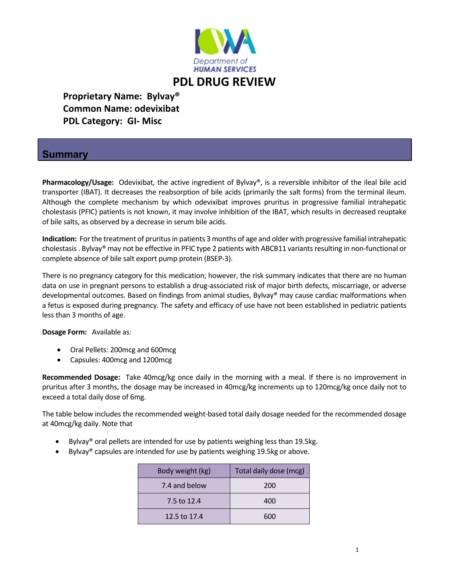

## **PDL DRUG REVIEW**

 **Proprietary Name: Bylvay® Common Name: odevixibat PDL Category: GI‐ Misc**

## **Summary**

Pharmacology/Usage: Odevixibat, the active ingredient of Bylvay®, is a reversible inhibitor of the ileal bile acid transporter (IBAT). It decreases the reabsorption of bile acids (primarily the salt forms) from the terminal ileum. Although the complete mechanism by which odevixibat improves pruritus in progressive familial intrahepatic cholestasis (PFIC) patients is not known, it may involve inhibition of the IBAT, which results in decreased reuptake of bile salts, as observed by a decrease in serum bile acids.

**Indication:** Forthe treatment of pruritusin patients 3 months of age and older with progressive familial intrahepatic cholestasis. Bylvay® may not be effective in PFIC type 2 patients with ABCB11 variants resulting in non-functional or complete absence of bile salt export pump protein (BSEP‐3).

There is no pregnancy category for this medication; however, the risk summary indicates that there are no human data on use in pregnant persons to establish a drug‐associated risk of major birth defects, miscarriage, or adverse developmental outcomes. Based on findings from animal studies, Bylvay® may cause cardiac malformations when a fetus is exposed during pregnancy. The safety and efficacy of use have not been established in pediatric patients less than 3 months of age.

**Dosage Form:** Available as:

- Oral Pellets: 200mcg and 600mcg
- Capsules: 400mcg and 1200mcg

**Recommended Dosage:** Take 40mcg/kg once daily in the morning with a meal. If there is no improvement in pruritus after 3 months, the dosage may be increased in 40mcg/kg increments up to 120mcg/kg once daily not to exceed a total daily dose of 6mg.

The table below includes the recommended weight‐based total daily dosage needed for the recommended dosage at 40mcg/kg daily. Note that

- Bylvay<sup>®</sup> oral pellets are intended for use by patients weighing less than 19.5kg.
- Bylvay<sup>®</sup> capsules are intended for use by patients weighing 19.5kg or above.

| Body weight (kg) | Total daily dose (mcg) |  |  |
|------------------|------------------------|--|--|
| 7.4 and below    | 200                    |  |  |
| 7.5 to 12.4      | 400                    |  |  |
| 12.5 to 17.4     | 600                    |  |  |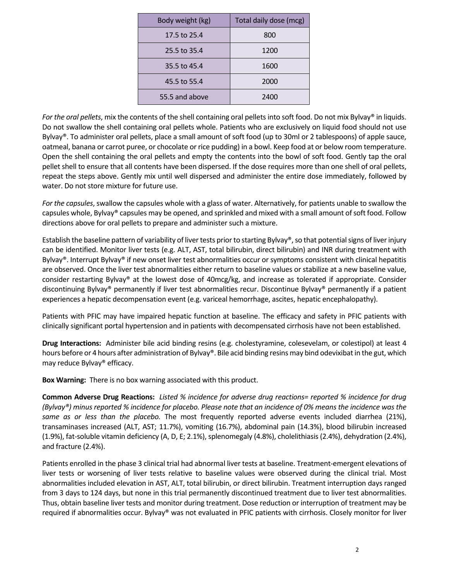| Body weight (kg) | Total daily dose (mcg) |  |  |
|------------------|------------------------|--|--|
| 17.5 to 25.4     | 800                    |  |  |
| 25.5 to 35.4     | 1200                   |  |  |
| 35.5 to 45.4     | 1600                   |  |  |
| 45.5 to 55.4     | 2000                   |  |  |
| 55.5 and above   | 2400                   |  |  |

*For the oral pellets*, mix the contents of the shell containing oral pelletsinto soft food. Do not mix Bylvay® in liquids. Do not swallow the shell containing oral pellets whole. Patients who are exclusively on liquid food should not use Bylvay®. To administer oral pellets, place a small amount of soft food (up to 30ml or 2 tablespoons) of apple sauce, oatmeal, banana or carrot puree, or chocolate or rice pudding) in a bowl. Keep food at or below room temperature. Open the shell containing the oral pellets and empty the contents into the bowl of soft food. Gently tap the oral pellet shell to ensure that all contents have been dispersed. If the dose requires more than one shell of oral pellets, repeat the steps above. Gently mix until well dispersed and administer the entire dose immediately, followed by water. Do not store mixture for future use.

For the capsules, swallow the capsules whole with a glass of water. Alternatively, for patients unable to swallow the capsules whole, Bylvay® capsules may be opened, and sprinkled and mixed with a small amount ofsoft food. Follow directions above for oral pellets to prepare and administer such a mixture.

Establish the baseline pattern of variability of liver tests prior to starting Bylvay®, so that potential signs of liver injury can be identified. Monitor liver tests (e.g. ALT, AST, total bilirubin, direct bilirubin) and INR during treatment with Bylvay®. Interrupt Bylvay® if new onset liver test abnormalities occur or symptoms consistent with clinical hepatitis are observed. Once the liver test abnormalities either return to baseline values or stabilize at a new baseline value, consider restarting Bylvay® at the lowest dose of 40mcg/kg, and increase as tolerated if appropriate. Consider discontinuing Bylvay® permanently if liver test abnormalities recur. Discontinue Bylvay® permanently if a patient experiences a hepatic decompensation event (e.g. variceal hemorrhage, ascites, hepatic encephalopathy).

Patients with PFIC may have impaired hepatic function at baseline. The efficacy and safety in PFIC patients with clinically significant portal hypertension and in patients with decompensated cirrhosis have not been established.

**Drug Interactions:** Administer bile acid binding resins (e.g. cholestyramine, colesevelam, or colestipol) at least 4 hours before or 4 hours after administration of Bylvay®. Bile acid binding resins may bind odevixibat in the gut, which may reduce Bylvay® efficacy.

**Box Warning:** There is no box warning associated with this product.

**Common Adverse Drug Reactions:** Listed % incidence for adverse drug reactions= reported % incidence for drug (Bylvay®) minus reported % incidence for placebo. Please note that an incidence of 0% means the incidence was the *same as or less than the placebo.* The most frequently reported adverse events included diarrhea (21%), transaminases increased (ALT, AST; 11.7%), vomiting (16.7%), abdominal pain (14.3%), blood bilirubin increased (1.9%), fat-soluble vitamin deficiency (A, D, E; 2.1%), splenomegaly (4.8%), cholelithiasis (2.4%), dehydration (2.4%), and fracture (2.4%).

Patients enrolled in the phase 3 clinical trial had abnormal liver tests at baseline. Treatment‐emergent elevations of liver tests or worsening of liver tests relative to baseline values were observed during the clinical trial. Most abnormalities included elevation in AST, ALT, total bilirubin, or direct bilirubin. Treatment interruption days ranged from 3 days to 124 days, but none in this trial permanently discontinued treatment due to liver test abnormalities. Thus, obtain baseline liver tests and monitor during treatment. Dose reduction or interruption of treatment may be required if abnormalities occur. Bylvay® was not evaluated in PFIC patients with cirrhosis. Closely monitor for liver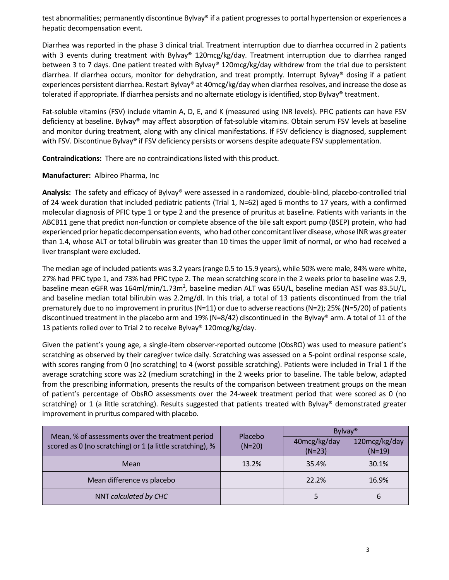test abnormalities; permanently discontinue Bylvay® if a patient progresses to portal hypertension or experiences a hepatic decompensation event.

Diarrhea was reported in the phase 3 clinical trial. Treatment interruption due to diarrhea occurred in 2 patients with 3 events during treatment with Bylvay® 120mcg/kg/day. Treatment interruption due to diarrhea ranged between 3 to 7 days. One patient treated with Bylvay® 120mcg/kg/day withdrew from the trial due to persistent diarrhea. If diarrhea occurs, monitor for dehydration, and treat promptly. Interrupt Bylvay® dosing if a patient experiences persistent diarrhea. Restart Bylvay® at 40mcg/kg/day when diarrhea resolves, and increase the dose as tolerated if appropriate. If diarrhea persists and no alternate etiology is identified, stop Bylvay® treatment.

Fat-soluble vitamins (FSV) include vitamin A, D, E, and K (measured using INR levels). PFIC patients can have FSV deficiency at baseline. Bylvay® may affect absorption of fat-soluble vitamins. Obtain serum FSV levels at baseline and monitor during treatment, along with any clinical manifestations. If FSV deficiency is diagnosed, supplement with FSV. Discontinue Bylvay® if FSV deficiency persists or worsens despite adequate FSV supplementation.

**Contraindications:** There are no contraindications listed with this product.

**Manufacturer:** Albireo Pharma, Inc

**Analysis:** The safety and efficacy of Bylvay® were assessed in a randomized, double‐blind, placebo‐controlled trial of 24 week duration that included pediatric patients (Trial 1, N=62) aged 6 months to 17 years, with a confirmed molecular diagnosis of PFIC type 1 or type 2 and the presence of pruritus at baseline. Patients with variants in the ABCB11 gene that predict non‐function or complete absence of the bile salt export pump (BSEP) protein, who had experienced prior hepatic decompensation events, who had other concomitantliver disease, whose INR was greater than 1.4, whose ALT or total bilirubin was greater than 10 times the upper limit of normal, or who had received a liver transplant were excluded.

The median age of included patients was 3.2 years (range 0.5 to 15.9 years), while 50% were male, 84% were white, 27% had PFIC type 1, and 73% had PFIC type 2. The mean scratching score in the 2 weeks prior to baseline was 2.9, baseline mean eGFR was 164ml/min/1.73m<sup>2</sup>, baseline median ALT was 65U/L, baseline median AST was 83.5U/L, and baseline median total bilirubin was 2.2mg/dl. In this trial, a total of 13 patients discontinued from the trial prematurely due to no improvement in pruritus(N=11) or due to adverse reactions(N=2); 25% (N=5/20) of patients discontinued treatment in the placebo arm and 19% (N=8/42) discontinued in the Bylvay® arm. A total of 11 of the 13 patients rolled over to Trial 2 to receive Bylvay® 120mcg/kg/day.

Given the patient's young age, a single‐item observer‐reported outcome (ObsRO) was used to measure patient's scratching as observed by their caregiver twice daily. Scratching was assessed on a 5‐point ordinal response scale, with scores ranging from 0 (no scratching) to 4 (worst possible scratching). Patients were included in Trial 1 if the average scratching score was ≥2 (medium scratching) in the 2 weeks prior to baseline. The table below, adapted from the prescribing information, presents the results of the comparison between treatment groups on the mean of patient's percentage of ObsRO assessments over the 24‐week treatment period that were scored as 0 (no scratching) or 1 (a little scratching). Results suggested that patients treated with Bylvay® demonstrated greater improvement in pruritus compared with placebo.

| Mean, % of assessments over the treatment period<br>scored as 0 (no scratching) or 1 (a little scratching), % | Placebo<br>$(N=20)$ | Bylvay <sup>®</sup>      |                           |
|---------------------------------------------------------------------------------------------------------------|---------------------|--------------------------|---------------------------|
|                                                                                                               |                     | 40mcg/kg/day<br>$(N=23)$ | 120mcg/kg/day<br>$(N=19)$ |
| Mean                                                                                                          | 13.2%               | 35.4%                    | 30.1%                     |
| Mean difference vs placebo                                                                                    |                     | 22.2%                    | 16.9%                     |
| NNT calculated by CHC                                                                                         |                     | 5                        | 6                         |